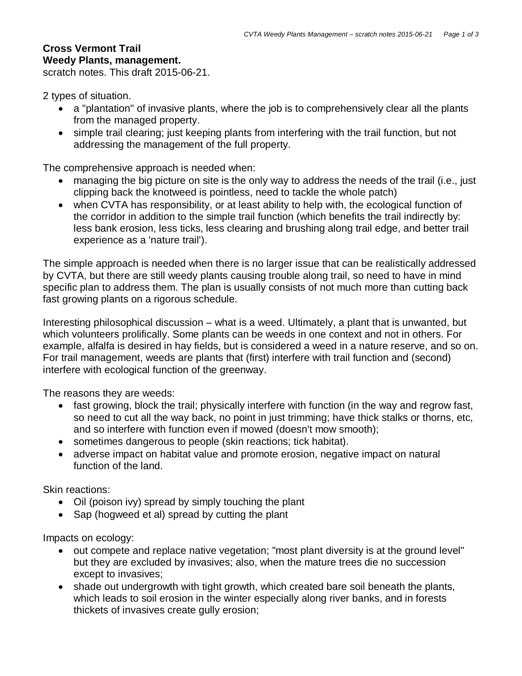## **Cross Vermont Trail Weedy Plants, management.**

scratch notes. This draft 2015-06-21.

2 types of situation.

- a "plantation" of invasive plants, where the job is to comprehensively clear all the plants from the managed property.
- simple trail clearing; just keeping plants from interfering with the trail function, but not addressing the management of the full property.

The comprehensive approach is needed when:

- managing the big picture on site is the only way to address the needs of the trail (i.e., just clipping back the knotweed is pointless, need to tackle the whole patch)
- when CVTA has responsibility, or at least ability to help with, the ecological function of the corridor in addition to the simple trail function (which benefits the trail indirectly by: less bank erosion, less ticks, less clearing and brushing along trail edge, and better trail experience as a 'nature trail').

The simple approach is needed when there is no larger issue that can be realistically addressed by CVTA, but there are still weedy plants causing trouble along trail, so need to have in mind specific plan to address them. The plan is usually consists of not much more than cutting back fast growing plants on a rigorous schedule.

Interesting philosophical discussion – what is a weed. Ultimately, a plant that is unwanted, but which volunteers prolifically. Some plants can be weeds in one context and not in others. For example, alfalfa is desired in hay fields, but is considered a weed in a nature reserve, and so on. For trail management, weeds are plants that (first) interfere with trail function and (second) interfere with ecological function of the greenway.

The reasons they are weeds:

- fast growing, block the trail; physically interfere with function (in the way and regrow fast, so need to cut all the way back, no point in just trimming; have thick stalks or thorns, etc, and so interfere with function even if mowed (doesn't mow smooth);
- sometimes dangerous to people (skin reactions; tick habitat).
- adverse impact on habitat value and promote erosion, negative impact on natural function of the land.

Skin reactions:

- Oil (poison ivy) spread by simply touching the plant
- Sap (hogweed et al) spread by cutting the plant

Impacts on ecology:

- out compete and replace native vegetation; "most plant diversity is at the ground level" but they are excluded by invasives; also, when the mature trees die no succession except to invasives;
- shade out undergrowth with tight growth, which created bare soil beneath the plants, which leads to soil erosion in the winter especially along river banks, and in forests thickets of invasives create gully erosion;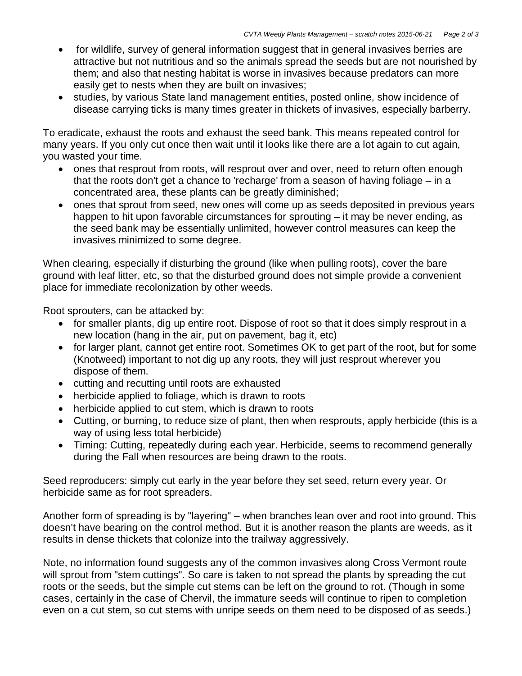- for wildlife, survey of general information suggest that in general invasives berries are attractive but not nutritious and so the animals spread the seeds but are not nourished by them; and also that nesting habitat is worse in invasives because predators can more easily get to nests when they are built on invasives;
- studies, by various State land management entities, posted online, show incidence of disease carrying ticks is many times greater in thickets of invasives, especially barberry.

To eradicate, exhaust the roots and exhaust the seed bank. This means repeated control for many years. If you only cut once then wait until it looks like there are a lot again to cut again, you wasted your time.

- ones that resprout from roots, will resprout over and over, need to return often enough that the roots don't get a chance to 'recharge' from a season of having foliage – in a concentrated area, these plants can be greatly diminished;
- ones that sprout from seed, new ones will come up as seeds deposited in previous years happen to hit upon favorable circumstances for sprouting – it may be never ending, as the seed bank may be essentially unlimited, however control measures can keep the invasives minimized to some degree.

When clearing, especially if disturbing the ground (like when pulling roots), cover the bare ground with leaf litter, etc, so that the disturbed ground does not simple provide a convenient place for immediate recolonization by other weeds.

Root sprouters, can be attacked by:

- for smaller plants, dig up entire root. Dispose of root so that it does simply resprout in a new location (hang in the air, put on pavement, bag it, etc)
- for larger plant, cannot get entire root. Sometimes OK to get part of the root, but for some (Knotweed) important to not dig up any roots, they will just resprout wherever you dispose of them.
- cutting and recutting until roots are exhausted
- herbicide applied to foliage, which is drawn to roots
- herbicide applied to cut stem, which is drawn to roots
- Cutting, or burning, to reduce size of plant, then when resprouts, apply herbicide (this is a way of using less total herbicide)
- Timing: Cutting, repeatedly during each year. Herbicide, seems to recommend generally during the Fall when resources are being drawn to the roots.

Seed reproducers: simply cut early in the year before they set seed, return every year. Or herbicide same as for root spreaders.

Another form of spreading is by "layering" – when branches lean over and root into ground. This doesn't have bearing on the control method. But it is another reason the plants are weeds, as it results in dense thickets that colonize into the trailway aggressively.

Note, no information found suggests any of the common invasives along Cross Vermont route will sprout from "stem cuttings". So care is taken to not spread the plants by spreading the cut roots or the seeds, but the simple cut stems can be left on the ground to rot. (Though in some cases, certainly in the case of Chervil, the immature seeds will continue to ripen to completion even on a cut stem, so cut stems with unripe seeds on them need to be disposed of as seeds.)